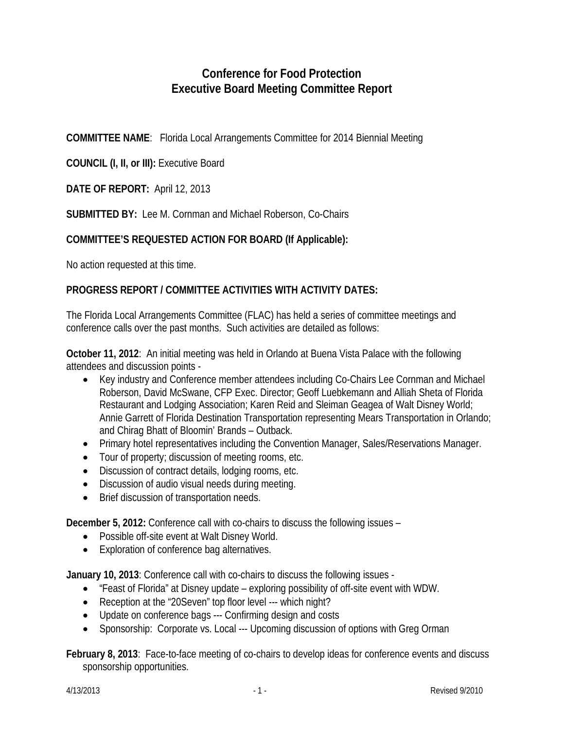## **Conference for Food Protection Executive Board Meeting Committee Report**

**COMMITTEE NAME**: Florida Local Arrangements Committee for 2014 Biennial Meeting

**COUNCIL (I, II, or III):** Executive Board

**DATE OF REPORT:** April 12, 2013

**SUBMITTED BY:** Lee M. Cornman and Michael Roberson, Co-Chairs

## **COMMITTEE'S REQUESTED ACTION FOR BOARD (If Applicable):**

No action requested at this time.

## **PROGRESS REPORT / COMMITTEE ACTIVITIES WITH ACTIVITY DATES:**

The Florida Local Arrangements Committee (FLAC) has held a series of committee meetings and conference calls over the past months. Such activities are detailed as follows:

**October 11, 2012**: An initial meeting was held in Orlando at Buena Vista Palace with the following attendees and discussion points -

- Key industry and Conference member attendees including Co-Chairs Lee Cornman and Michael Roberson, David McSwane, CFP Exec. Director; Geoff Luebkemann and Alliah Sheta of Florida Restaurant and Lodging Association; Karen Reid and Sleiman Geagea of Walt Disney World; Annie Garrett of Florida Destination Transportation representing Mears Transportation in Orlando; and Chirag Bhatt of Bloomin' Brands – Outback.
- Primary hotel representatives including the Convention Manager, Sales/Reservations Manager.
- Tour of property; discussion of meeting rooms, etc.
- Discussion of contract details, lodging rooms, etc.
- Discussion of audio visual needs during meeting.
- Brief discussion of transportation needs.

**December 5, 2012:** Conference call with co-chairs to discuss the following issues –

- Possible off-site event at Walt Disney World.
- Exploration of conference bag alternatives.

**January 10, 2013**: Conference call with co-chairs to discuss the following issues -

- "Feast of Florida" at Disney update exploring possibility of off-site event with WDW.
- Reception at the "20Seven" top floor level --- which night?
- Update on conference bags --- Confirming design and costs
- Sponsorship: Corporate vs. Local --- Upcoming discussion of options with Greg Orman

**February 8, 2013**: Face-to-face meeting of co-chairs to develop ideas for conference events and discuss sponsorship opportunities.